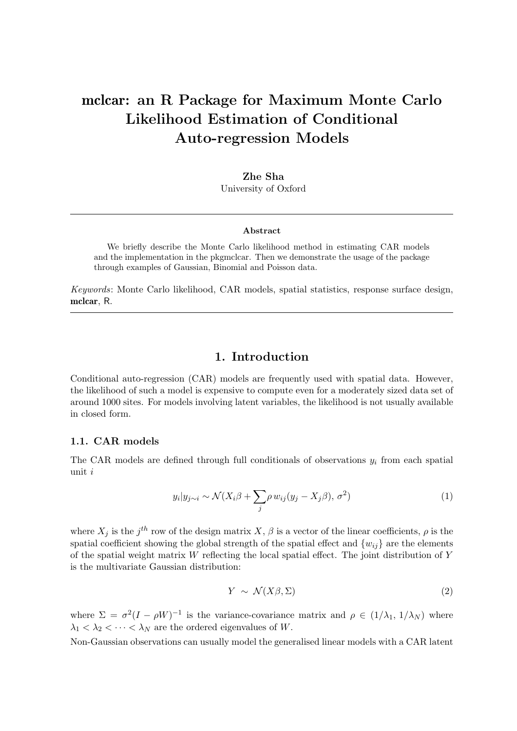# mclcar: an R Package for Maximum Monte Carlo Likelihood Estimation of Conditional Auto-regression Models

Zhe Sha University of Oxford

#### Abstract

We briefly describe the Monte Carlo likelihood method in estimating CAR models and the implementation in the pkgmclcar. Then we demonstrate the usage of the package through examples of Gaussian, Binomial and Poisson data.

Keywords: Monte Carlo likelihood, CAR models, spatial statistics, response surface design, mclcar, R.

# 1. Introduction

Conditional auto-regression (CAR) models are frequently used with spatial data. However, the likelihood of such a model is expensive to compute even for a moderately sized data set of around 1000 sites. For models involving latent variables, the likelihood is not usually available in closed form.

#### 1.1. CAR models

The CAR models are defined through full conditionals of observations  $y_i$  from each spatial unit i

$$
y_i|y_{j\sim i} \sim \mathcal{N}(X_i\beta + \sum_j \rho w_{ij}(y_j - X_j\beta), \sigma^2)
$$
 (1)

where  $X_j$  is the  $j^{th}$  row of the design matrix X,  $\beta$  is a vector of the linear coefficients,  $\rho$  is the spatial coefficient showing the global strength of the spatial effect and  $\{w_{ij}\}\$ are the elements of the spatial weight matrix  $W$  reflecting the local spatial effect. The joint distribution of  $Y$ is the multivariate Gaussian distribution:

<span id="page-0-0"></span>
$$
Y \sim \mathcal{N}(X\beta, \Sigma) \tag{2}
$$

where  $\Sigma = \sigma^2 (I - \rho W)^{-1}$  is the variance-covariance matrix and  $\rho \in (1/\lambda_1, 1/\lambda_N)$  where  $\lambda_1 < \lambda_2 < \cdots < \lambda_N$  are the ordered eigenvalues of W.

Non-Gaussian observations can usually model the generalised linear models with a CAR latent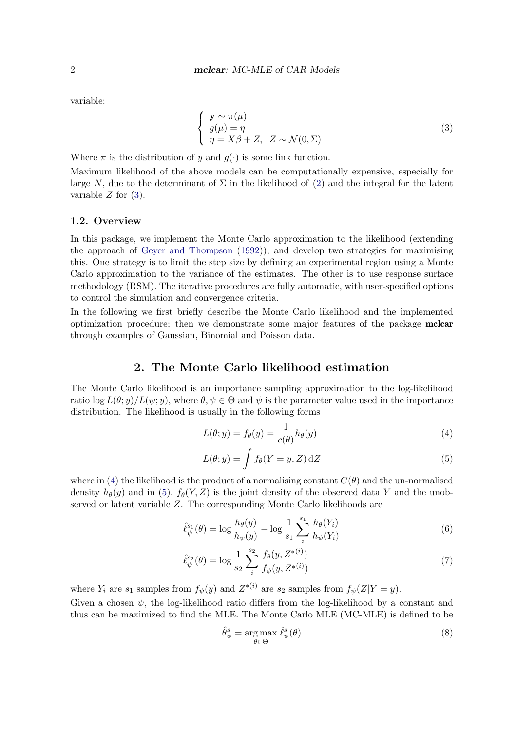variable:

<span id="page-1-0"></span>
$$
\begin{cases}\n\mathbf{y} \sim \pi(\mu) \\
g(\mu) = \eta \\
\eta = X\beta + Z, \ Z \sim \mathcal{N}(0, \Sigma)\n\end{cases} (3)
$$

Where  $\pi$  is the distribution of y and  $q(.)$  is some link function.

Maximum likelihood of the above models can be computationally expensive, especially for large N, due to the determinant of  $\Sigma$  in the likelihood of [\(2\)](#page-0-0) and the integral for the latent variable  $Z$  for  $(3)$ .

#### 1.2. Overview

In this package, we implement the Monte Carlo approximation to the likelihood (extending the approach of [Geyer and Thompson](#page-11-0) [\(1992\)](#page-11-0)), and develop two strategies for maximising this. One strategy is to limit the step size by defining an experimental region using a Monte Carlo approximation to the variance of the estimates. The other is to use response surface methodology (RSM). The iterative procedures are fully automatic, with user-specified options to control the simulation and convergence criteria.

In the following we first briefly describe the Monte Carlo likelihood and the implemented optimization procedure; then we demonstrate some major features of the package mclcar through examples of Gaussian, Binomial and Poisson data.

## 2. The Monte Carlo likelihood estimation

The Monte Carlo likelihood is an importance sampling approximation to the log-likelihood ratio log  $L(\theta; y)/L(\psi; y)$ , where  $\theta, \psi \in \Theta$  and  $\psi$  is the parameter value used in the importance distribution. The likelihood is usually in the following forms

<span id="page-1-1"></span>
$$
L(\theta; y) = f_{\theta}(y) = \frac{1}{c(\theta)} h_{\theta}(y)
$$
\n(4)

<span id="page-1-2"></span>
$$
L(\theta; y) = \int f_{\theta}(Y = y, Z) \,dZ \tag{5}
$$

where in [\(4\)](#page-1-1) the likelihood is the product of a normalising constant  $C(\theta)$  and the un-normalised density  $h_{\theta}(y)$  and in [\(5\)](#page-1-2),  $f_{\theta}(Y, Z)$  is the joint density of the observed data Y and the unobserved or latent variable Z. The corresponding Monte Carlo likelihoods are

$$
\hat{\ell}_{\psi}^{s_1}(\theta) = \log \frac{h_{\theta}(y)}{h_{\psi}(y)} - \log \frac{1}{s_1} \sum_{i}^{s_1} \frac{h_{\theta}(Y_i)}{h_{\psi}(Y_i)}
$$
(6)

$$
\hat{\ell}_{\psi}^{s_2}(\theta) = \log \frac{1}{s_2} \sum_{i}^{s_2} \frac{f_{\theta}(y, Z^{*(i)})}{f_{\psi}(y, Z^{*(i)})}
$$
(7)

where  $Y_i$  are  $s_1$  samples from  $f_{\psi}(y)$  and  $Z^{*(i)}$  are  $s_2$  samples from  $f_{\psi}(Z|Y=y)$ .

Given a chosen  $\psi$ , the log-likelihood ratio differs from the log-likelihood by a constant and thus can be maximized to find the MLE. The Monte Carlo MLE (MC-MLE) is defined to be

$$
\hat{\theta}_{\psi}^{s} = \underset{\theta \in \Theta}{\arg \max} \ \hat{\ell}_{\psi}^{s}(\theta) \tag{8}
$$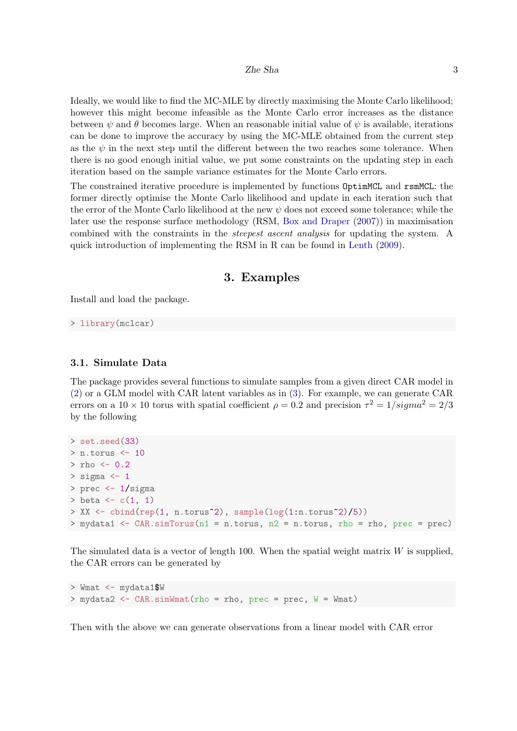Ideally, we would like to find the MC-MLE by directly maximising the Monte Carlo likelihood; however this might become infeasible as the Monte Carlo error increases as the distance between  $\psi$  and  $\theta$  becomes large. When an reasonable initial value of  $\psi$  is available, iterations can be done to improve the accuracy by using the MC-MLE obtained from the current step as the  $\psi$  in the next step until the different between the two reaches some tolerance. When there is no good enough initial value, we put some constraints on the updating step in each iteration based on the sample variance estimates for the Monte Carlo errors.

The constrained iterative procedure is implemented by functions OptimMCL and rsmMCL: the former directly optimise the Monte Carlo likelihood and update in each iteration such that the error of the Monte Carlo likelihood at the new  $\psi$  does not exceed some tolerance; while the later use the response surface methodology (RSM, [Box and Draper](#page-11-1) [\(2007\)](#page-11-1)) in maximisation combined with the constraints in the *steepest ascent analysis* for updating the system. A quick introduction of implementing the RSM in R can be found in [Lenth](#page-11-2) [\(2009\)](#page-11-2).

## 3. Examples

Install and load the package.

> library(mclcar)

#### 3.1. Simulate Data

The package provides several functions to simulate samples from a given direct CAR model in [\(2\)](#page-0-0) or a GLM model with CAR latent variables as in [\(3\)](#page-1-0). For example, we can generate CAR errors on a  $10 \times 10$  torus with spatial coefficient  $\rho = 0.2$  and precision  $\tau^2 = 1/sigma^2 = 2/3$ by the following

```
> set.seed(33)
> n.torus <- 10
> rho <- 0.2
> sigma <-1> prec <- 1/sigma
> beta <-c(1, 1)> XX \leftarrow \text{cbind}(\text{rep}(1, n.\text{torus}^2), \text{sample}(\text{log}(1:n.\text{torus}^2)/5))> mydata1 <- CAR.simTorus(n1 = n.torus, n2 = n.torus, rho = rho, prec = prec)
```
The simulated data is a vector of length 100. When the spatial weight matrix  $W$  is supplied, the CAR errors can be generated by

```
> Wmat <- mydata1$W
> mydata2 <- CAR.simWmat(rho = rho, prec = prec, W = Wmat)
```
Then with the above we can generate observations from a linear model with CAR error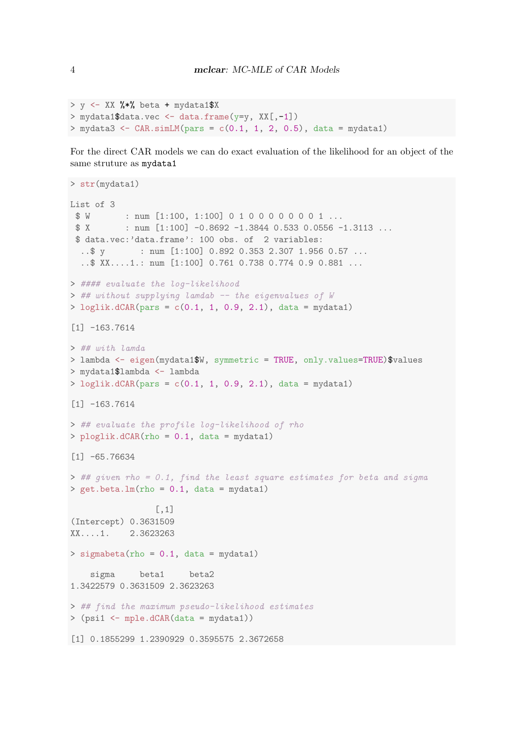```
> y <- XX %*% beta + mydata1$X
> mydata1$data.vec <- data.frame(y=y, XX[,-1])
> mydata3 <- CAR.simLM(pars = c(0.1, 1, 2, 0.5), data = mydata1)
```
For the direct CAR models we can do exact evaluation of the likelihood for an object of the same struture as mydata1

```
> str(mydata1)
List of 3
 $ W : num [1:100, 1:100] 0 1 0 0 0 0 0 0 0 1 ...
 $ X : num [1:100] -0.8692 -1.3844 0.533 0.0556 -1.3113 ...
 $ data.vec:'data.frame': 100 obs. of 2 variables:
  ..$ y : num [1:100] 0.892 0.353 2.307 1.956 0.57 ...
  ..$ XX....1.: num [1:100] 0.761 0.738 0.774 0.9 0.881 ...
> #### evaluate the log-likelihood
> ## without supplying lamdab -- the eigenvalues of W
> \log_{10}(C_{\text{AR}}(pars = c(0.1, 1, 0.9, 2.1)), \text{data} = \text{mydata1})[1] -163.7614> ## with lamda
> lambda <- eigen(mydata1$W, symmetric = TRUE, only.values=TRUE)$values
> mydata1$lambda <- lambda
> loglik.dCAR(pars = c(0.1, 1, 0.9, 2.1), data = mydata1)
[1] -163.7614
> ## evaluate the profile log-likelihood of rho
> ploglik.dCAR(rho = 0.1, data = mydata1)
[1] -65.76634
> ## given rho = 0.1, find the least square estimates for beta and sigma
> get.beta.lm(rho = 0.1, data = mydata1)
                 [, 1]
(Intercept) 0.3631509
XX....1. 2.3623263
> sigmabeta(rho = 0.1, data = mydata1)
    sigma beta1 beta2
1.3422579 0.3631509 2.3623263
> ## find the maximum pseudo-likelihood estimates
> (psi1 <- mple.dCAR(data = mydata1))
[1] 0.1855299 1.2390929 0.3595575 2.3672658
```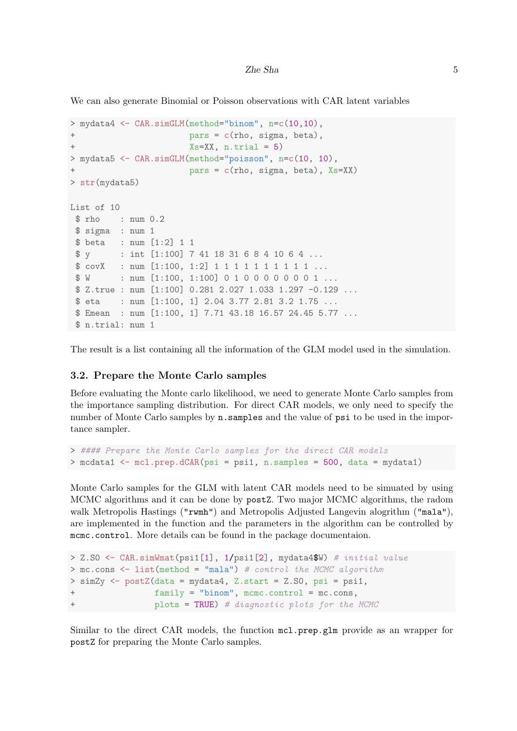We can also generate Binomial or Poisson observations with CAR latent variables

```
> mydata4 <- CAR.simGLM(method="binom", n=c(10,10),
+ pars = c(rho, sigma, beta),
+ Xs=XX, n.trial = 5)
> mydata5 <- CAR.simGLM(method="poisson", n=c(10, 10),
                     pars = c(rho, sigma, beta), Xs=XX)> str(mydata5)
List of 10
$ rho : num 0.2
$ sigma : num 1
$ beta : num [1:2] 1 1
$ y : int [1:100] 7 41 18 31 6 8 4 10 6 4 ...
 $ covX : num [1:100, 1:2] 1 1 1 1 1 1 1 1 1 1 ...
$ W : num [1:100, 1:100] 0 1 0 0 0 0 0 0 0 1 ...
 $ Z.true : num [1:100] 0.281 2.027 1.033 1.297 -0.129 ...
$ eta : num [1:100, 1] 2.04 3.77 2.81 3.2 1.75 ...
 $ Emean : num [1:100, 1] 7.71 43.18 16.57 24.45 5.77 ...
$ n.trial: num 1
```
The result is a list containing all the information of the GLM model used in the simulation.

## 3.2. Prepare the Monte Carlo samples

Before evaluating the Monte carlo likelihood, we need to generate Monte Carlo samples from the importance sampling distribution. For direct CAR models, we only need to specify the number of Monte Carlo samples by **n**.samples and the value of psi to be used in the importance sampler.

```
> #### Prepare the Monte Carlo samples for the direct CAR models
> mcdata1 <- mcl.prep.dCAR(psi = psi1, n.samples = 500, data = mydata1)
```
Monte Carlo samples for the GLM with latent CAR models need to be simuated by using MCMC algorithms and it can be done by postZ. Two major MCMC algorithms, the radom walk Metropolis Hastings ("rwmh") and Metropolis Adjusted Langevin alogrithm ("mala"), are implemented in the function and the parameters in the algorithm can be controlled by mcmc.control. More details can be found in the package documentaion.

```
> Z.S0 <- CAR.simWmat(psi1[1], 1/psi1[2], mydata4$W) # initial value
> mc.cons <- list(method = "mala") # control the MCMC algorithm
> simZy <- postZ(data = mydata4, Z.start = Z.S0, psi = psi1,
+ family = "binom", mcmc.control = mc.cons,
+ plots = TRUE) # diagnostic plots for the MCMC
```
Similar to the direct CAR models, the function mcl.prep.glm provide as an wrapper for postZ for preparing the Monte Carlo samples.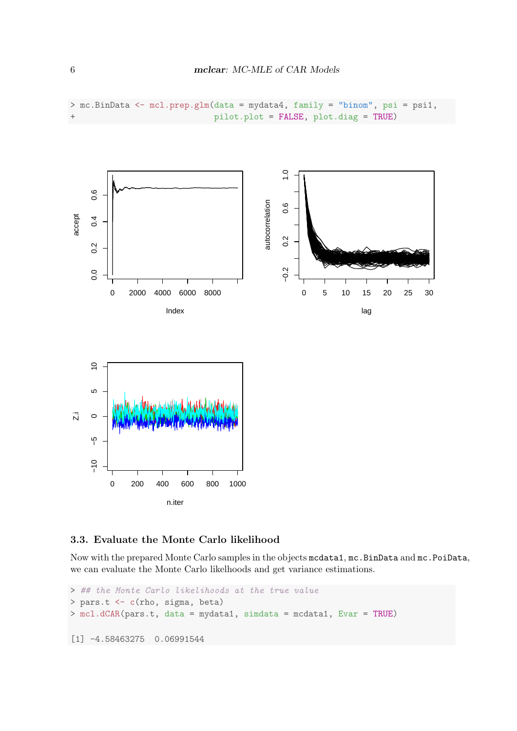



## 3.3. Evaluate the Monte Carlo likelihood

Now with the prepared Monte Carlo samples in the objects mcdata1, mc.BinData and mc.PoiData, we can evaluate the Monte Carlo likelhoods and get variance estimations.

```
> ## the Monte Carlo likelihoods at the true value
> pars.t <- c(rho, sigma, beta)
> mcl.dCAR(pars.t, data = mydata1, simdata = mcdata1, Evar = TRUE)
[1] -4.58463275 0.06991544
```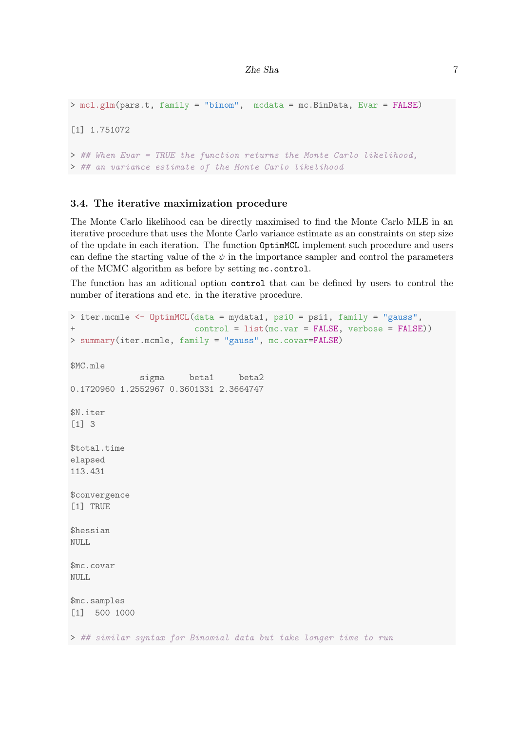```
> mcl.glm(pars.t, family = "binom", mcdata = mc.BinData, Evar = FALSE)
[1] 1.751072
> ## When Evar = TRUE the function returns the Monte Carlo likelihood,
> ## an variance estimate of the Monte Carlo likelihood
```
## 3.4. The iterative maximization procedure

The Monte Carlo likelihood can be directly maximised to find the Monte Carlo MLE in an iterative procedure that uses the Monte Carlo variance estimate as an constraints on step size of the update in each iteration. The function OptimMCL implement such procedure and users can define the starting value of the  $\psi$  in the importance sampler and control the parameters of the MCMC algorithm as before by setting mc.control.

The function has an aditional option control that can be defined by users to control the number of iterations and etc. in the iterative procedure.

```
> iter.mcmle <- OptimMCL(data = mydata1, psi0 = psi1, family = "gauss",
+ control = list(mc.var = FALSE, verbose = FALSE))
> summary(iter.mcmle, family = "gauss", mc.covar=FALSE)
$MC.mle
             sigma beta1 beta2
0.1720960 1.2552967 0.3601331 2.3664747
$N.iter
[1] 3
$total.time
elapsed
113.431
$convergence
[1] TRUE
$hessian
NULL
$mc.covar
NULL.
$mc.samples
[1] 500 1000
> ## similar syntax for Binomial data but take longer time to run
```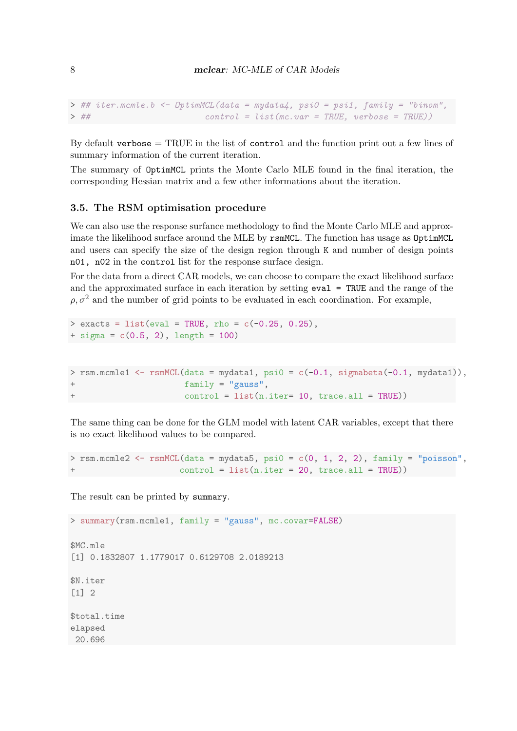```
> ## iter.mcmle.b <- OptionMCL(data = mydata4, psi0 = psi1, family = "binom",\geq ## control = list(mc.var = TRUE, verbose = TRUE))
```
By default verbose = TRUE in the list of control and the function print out a few lines of summary information of the current iteration.

The summary of OptimMCL prints the Monte Carlo MLE found in the final iteration, the corresponding Hessian matrix and a few other informations about the iteration.

#### 3.5. The RSM optimisation procedure

We can also use the response surfance methodology to find the Monte Carlo MLE and approximate the likelihood surface around the MLE by rsmMCL. The function has usage as OptimMCL and users can specify the size of the design region through K and number of design points n01, n02 in the control list for the response surface design.

For the data from a direct CAR models, we can choose to compare the exact likelihood surface and the approximated surface in each iteration by setting eval = TRUE and the range of the  $\rho$ ,  $\sigma^2$  and the number of grid points to be evaluated in each coordination. For example,

```
> exacts = list(eval = TRUE, rho = c(-0.25, 0.25),
+ sigma = c(0.5, 2), length = 100)
```

```
> rsm.mcmle1 <- rsmMCL(data = mydata1, psi0 = c(-0.1, sigmabeta(-0.1, mydata1)),
                      family = "gauss",control = list(n.iter= 10, trace.al = TRUE)
```
The same thing can be done for the GLM model with latent CAR variables, except that there is no exact likelihood values to be compared.

```
> rsm.mcmle2 <- rsmMCL(data = mydata5, psi0 = c(0, 1, 2, 2), family = "poisson",
                      control = list(n.iter = 20, trace.al1 = TRUE))
```
The result can be printed by summary.

> summary(rsm.mcmle1, family = "gauss", mc.covar=FALSE) \$MC.mle [1] 0.1832807 1.1779017 0.6129708 2.0189213 \$N.iter  $\lceil 1 \rceil$  2 \$total.time elapsed 20.696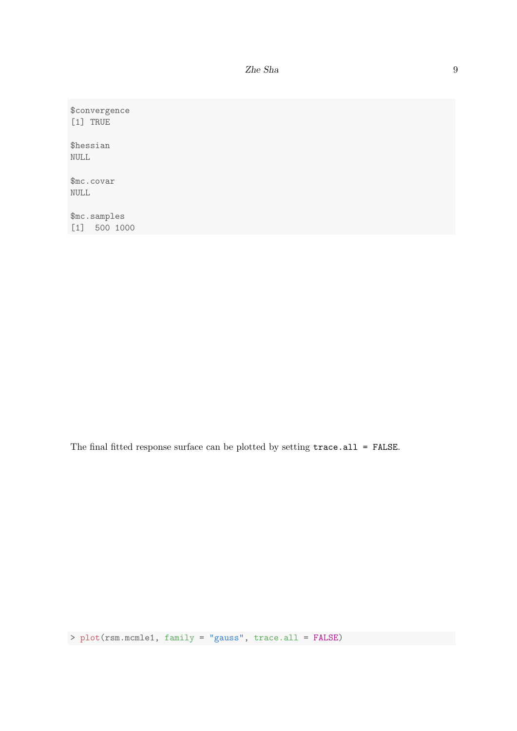\$convergence [1] TRUE

\$hessian NULL

\$mc.covar NULL

\$mc.samples [1] 500 1000

The final fitted response surface can be plotted by setting trace.all = FALSE.

> plot(rsm.mcmle1, family = "gauss", trace.all = FALSE)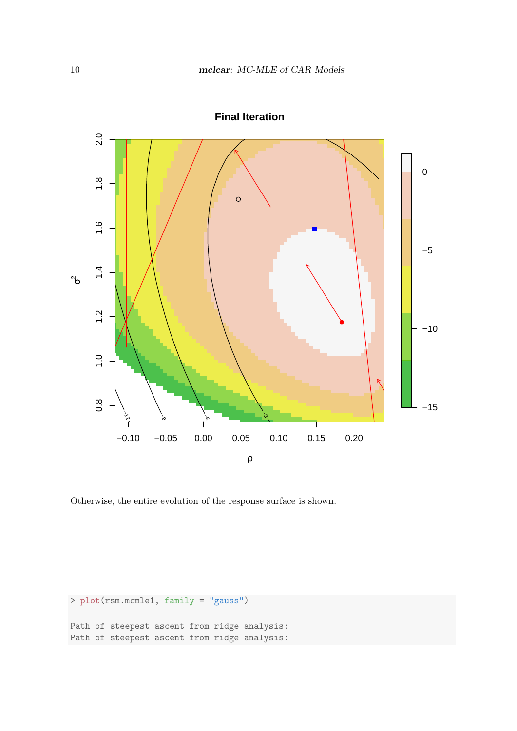

**Final Iteration**

Otherwise, the entire evolution of the response surface is shown.

```
> plot(rsm.mcmle1, family = "gauss")
Path of steepest ascent from ridge analysis:
Path of steepest ascent from ridge analysis:
```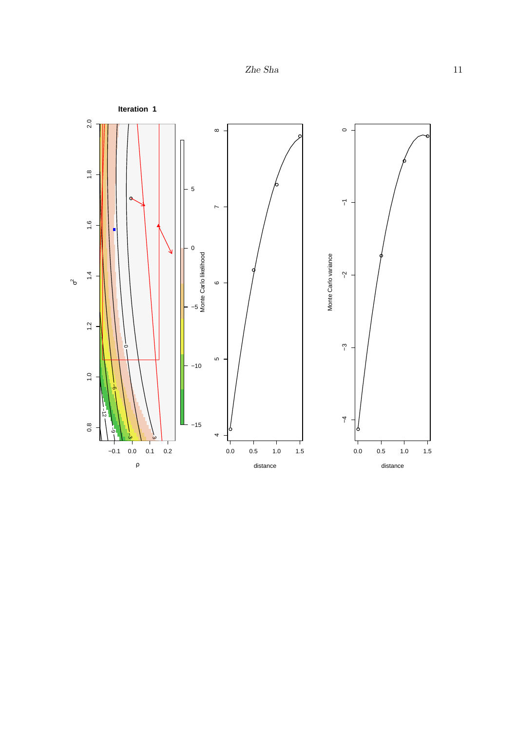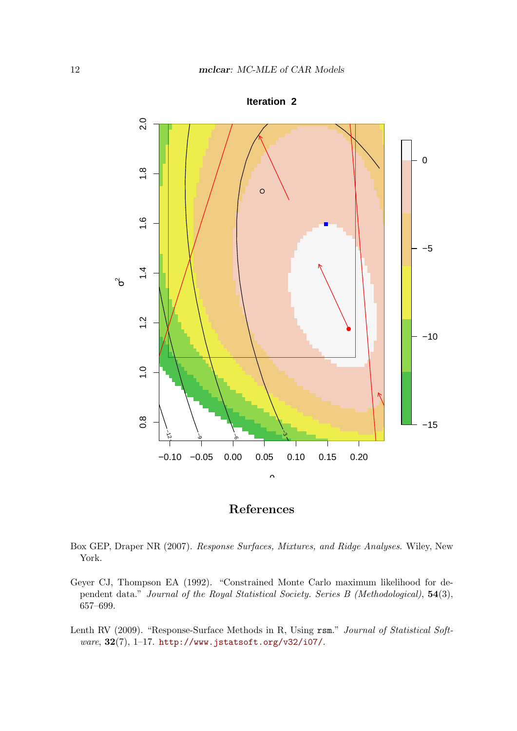



- <span id="page-11-1"></span>Box GEP, Draper NR (2007). Response Surfaces, Mixtures, and Ridge Analyses. Wiley, New York.
- <span id="page-11-0"></span>Geyer CJ, Thompson EA (1992). "Constrained Monte Carlo maximum likelihood for dependent data." Journal of the Royal Statistical Society. Series B (Methodological), 54(3), 657–699.
- <span id="page-11-2"></span>Lenth RV (2009). "Response-Surface Methods in R, Using rsm." Journal of Statistical Software, 32(7), 1–17. <http://www.jstatsoft.org/v32/i07/>.